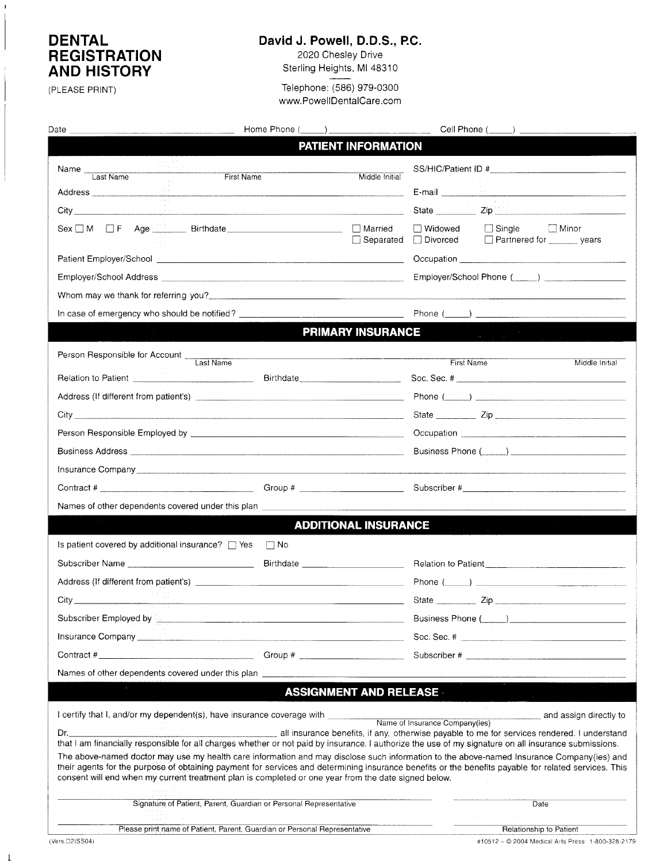# DENTAL **REGISTRATION** AND HISTORY

(PLEASE PRINT)

# David J. Powell, D.D.S., P.C.

2020 Chesley Drive Sterling Heights, Ml 48310

Telephone: (586) 979-0300 www. Powell DentalCare.com

| Date                                                                                                                                                                                                                               | Home Phone (<br><u> 1990 - Johann Stein, mars an Italia</u> | Cell Phone (_____) ____________                                                                                                                                                                                                                                                                                   |  |  |  |
|------------------------------------------------------------------------------------------------------------------------------------------------------------------------------------------------------------------------------------|-------------------------------------------------------------|-------------------------------------------------------------------------------------------------------------------------------------------------------------------------------------------------------------------------------------------------------------------------------------------------------------------|--|--|--|
|                                                                                                                                                                                                                                    | PATIENT INFORMATION                                         |                                                                                                                                                                                                                                                                                                                   |  |  |  |
| Name                                                                                                                                                                                                                               |                                                             | SS/HIC/Patient ID #                                                                                                                                                                                                                                                                                               |  |  |  |
| Last Name<br>First Name                                                                                                                                                                                                            | Middle Initial                                              |                                                                                                                                                                                                                                                                                                                   |  |  |  |
|                                                                                                                                                                                                                                    |                                                             | State <u>and Zipermanniers</u>                                                                                                                                                                                                                                                                                    |  |  |  |
|                                                                                                                                                                                                                                    | $\Box$ Married                                              | $\Box$ Minor<br>□ Widowed<br>$\Box$ Single                                                                                                                                                                                                                                                                        |  |  |  |
|                                                                                                                                                                                                                                    | □ Separated                                                 | □ Divorced<br>Partnered for _______ years                                                                                                                                                                                                                                                                         |  |  |  |
|                                                                                                                                                                                                                                    |                                                             |                                                                                                                                                                                                                                                                                                                   |  |  |  |
|                                                                                                                                                                                                                                    |                                                             |                                                                                                                                                                                                                                                                                                                   |  |  |  |
|                                                                                                                                                                                                                                    |                                                             |                                                                                                                                                                                                                                                                                                                   |  |  |  |
| In case of emergency who should be notified? ___________________________________                                                                                                                                                   |                                                             |                                                                                                                                                                                                                                                                                                                   |  |  |  |
| <b>PRIMARY INSURANCE</b>                                                                                                                                                                                                           |                                                             |                                                                                                                                                                                                                                                                                                                   |  |  |  |
| Person Responsible for Account                                                                                                                                                                                                     |                                                             |                                                                                                                                                                                                                                                                                                                   |  |  |  |
| Last Name                                                                                                                                                                                                                          |                                                             | First Name<br>Middle Initial                                                                                                                                                                                                                                                                                      |  |  |  |
|                                                                                                                                                                                                                                    |                                                             |                                                                                                                                                                                                                                                                                                                   |  |  |  |
|                                                                                                                                                                                                                                    |                                                             |                                                                                                                                                                                                                                                                                                                   |  |  |  |
|                                                                                                                                                                                                                                    |                                                             |                                                                                                                                                                                                                                                                                                                   |  |  |  |
|                                                                                                                                                                                                                                    |                                                             | Business Phone (August 2014) 2014 12:30 12:30 12:30 12:30 12:30 12:30 12:30 12:30 12:30 12:30 12:30 12:30 12:30                                                                                                                                                                                                   |  |  |  |
|                                                                                                                                                                                                                                    |                                                             | the state of the state of the state of the state of the state of the state of the                                                                                                                                                                                                                                 |  |  |  |
|                                                                                                                                                                                                                                    |                                                             |                                                                                                                                                                                                                                                                                                                   |  |  |  |
| Names of other dependents covered under this plan ________                                                                                                                                                                         |                                                             |                                                                                                                                                                                                                                                                                                                   |  |  |  |
|                                                                                                                                                                                                                                    | <b>ADDITIONAL INSURANCE</b>                                 |                                                                                                                                                                                                                                                                                                                   |  |  |  |
| Is patient covered by additional insurance? $\Box$ Yes                                                                                                                                                                             | $\Box$ No                                                   |                                                                                                                                                                                                                                                                                                                   |  |  |  |
|                                                                                                                                                                                                                                    |                                                             |                                                                                                                                                                                                                                                                                                                   |  |  |  |
|                                                                                                                                                                                                                                    |                                                             | Phone $(\_\_\_\_)$                                                                                                                                                                                                                                                                                                |  |  |  |
|                                                                                                                                                                                                                                    |                                                             |                                                                                                                                                                                                                                                                                                                   |  |  |  |
| Subscriber Employed by <b>Example 2018</b> 2019 12:00:00 PM 2019 12:00:00 PM 2019 12:00:00 PM 2019 12:00:00 PM 2019 12:00:00 PM 2019 12:00:00 PM 2019 12:00:00 PM 2019 12:00:00 PM 2019 12:00:00 PM 2019 12:00:00 PM 2019 12:00:00 |                                                             |                                                                                                                                                                                                                                                                                                                   |  |  |  |
|                                                                                                                                                                                                                                    |                                                             | Soc. Sec. # $\frac{1}{2}$ $\frac{1}{2}$ $\frac{1}{2}$ $\frac{1}{2}$ $\frac{1}{2}$ $\frac{1}{2}$ $\frac{1}{2}$ $\frac{1}{2}$ $\frac{1}{2}$ $\frac{1}{2}$ $\frac{1}{2}$ $\frac{1}{2}$ $\frac{1}{2}$ $\frac{1}{2}$ $\frac{1}{2}$ $\frac{1}{2}$ $\frac{1}{2}$ $\frac{1}{2}$ $\frac{1}{2}$ $\frac{1}{2}$ $\frac{1}{2}$ |  |  |  |
|                                                                                                                                                                                                                                    |                                                             |                                                                                                                                                                                                                                                                                                                   |  |  |  |
| Names of other dependents covered under this plan                                                                                                                                                                                  |                                                             |                                                                                                                                                                                                                                                                                                                   |  |  |  |
|                                                                                                                                                                                                                                    | <b>ASSIGNMENT AND RELEASE</b>                               |                                                                                                                                                                                                                                                                                                                   |  |  |  |
| I certify that I, and/or my dependent(s), have insurance coverage with Name of Insurance Company(ies)                                                                                                                              |                                                             | and assign directly to                                                                                                                                                                                                                                                                                            |  |  |  |
| Dr. Dr.                                                                                                                                                                                                                            |                                                             | all insurance benefits, if any, otherwise payable to me for services rendered. I understand                                                                                                                                                                                                                       |  |  |  |
|                                                                                                                                                                                                                                    |                                                             | that I am financially responsible for all charges whether or not paid by insurance. I authorize the use of my signature on all insurance submissions.                                                                                                                                                             |  |  |  |
| consent will end when my current treatment plan is completed or one year from the date signed below.                                                                                                                               |                                                             | The above-named doctor may use my health care information and may disclose such information to the above-named Insurance Company(ies) and<br>their agents for the purpose of obtaining payment for services and determining insurance benefits or the benefits payable for related services. This                 |  |  |  |
|                                                                                                                                                                                                                                    |                                                             |                                                                                                                                                                                                                                                                                                                   |  |  |  |
| Signature of Patient, Parent, Guardian or Personal Representative                                                                                                                                                                  |                                                             | Date                                                                                                                                                                                                                                                                                                              |  |  |  |
| Please print name of Patient, Parent, Guardian or Personal Representative                                                                                                                                                          |                                                             | Relationship to Patient                                                                                                                                                                                                                                                                                           |  |  |  |

(Vers. D2 ISS04)

 $\mathbf 1$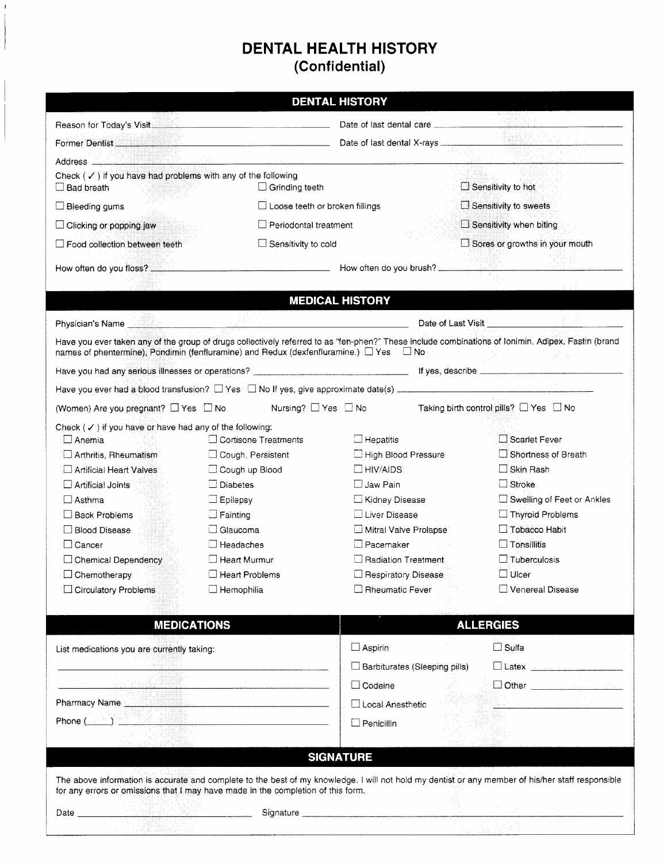# **DENTAL HEALTH HISTORY** (Confidential)

| <b>DENTAL HISTORY</b>                                                                                                                                                                                                                    |                                                         |                                                                                                                                                                                                                                |                                                                                                                                                    |  |  |
|------------------------------------------------------------------------------------------------------------------------------------------------------------------------------------------------------------------------------------------|---------------------------------------------------------|--------------------------------------------------------------------------------------------------------------------------------------------------------------------------------------------------------------------------------|----------------------------------------------------------------------------------------------------------------------------------------------------|--|--|
| Reason for Today's Visit <b>Constitution Constitution</b> Date of last dental care <b>Constitution Constitution</b> Constitution Constitution Constitution Constitution Constitution Constitution Constitution Constitution Constitution |                                                         |                                                                                                                                                                                                                                |                                                                                                                                                    |  |  |
|                                                                                                                                                                                                                                          |                                                         |                                                                                                                                                                                                                                |                                                                                                                                                    |  |  |
| Former Dentist <b>Example 2018</b> 2019 12:00:00 Date of last dental X-rays <b>Contact Dentist 2019</b> 2019 12:00:00 Date of last dental X-rays                                                                                         |                                                         |                                                                                                                                                                                                                                |                                                                                                                                                    |  |  |
| Address <b>Management of the Community of the Community of the Community of the Community</b><br>이 작은 사람들은 이번 사람들의 사람들을 받아 보이는 것이다.                                                                                                      |                                                         |                                                                                                                                                                                                                                |                                                                                                                                                    |  |  |
| Check $(\checkmark)$ if you have had problems with any of the following<br>$\Box$ Grinding teeth<br>$\Box$ Bad breath                                                                                                                    |                                                         |                                                                                                                                                                                                                                | $\square$ Sensitivity to hot                                                                                                                       |  |  |
| $\Box$ Bleeding gums                                                                                                                                                                                                                     | □ Loose teeth or broken fillings                        |                                                                                                                                                                                                                                | $\Box$ Sensitivity to sweets                                                                                                                       |  |  |
|                                                                                                                                                                                                                                          |                                                         |                                                                                                                                                                                                                                | $\Box$ Sensitivity when biting                                                                                                                     |  |  |
|                                                                                                                                                                                                                                          | Periodontal treatment<br>$\Box$ Clicking or popping jaw |                                                                                                                                                                                                                                |                                                                                                                                                    |  |  |
| $\Box$ Food collection between teeth                                                                                                                                                                                                     | $\Box$ Sensitivity to cold                              |                                                                                                                                                                                                                                | $\Box$ Sores or growths in your mouth                                                                                                              |  |  |
| التقليم المستقل المستقل المستقل المستقل المستقل المستقل المستقل المستقل المستقل المستقل المستقل المستقل المستق                                                                                                                           |                                                         |                                                                                                                                                                                                                                |                                                                                                                                                    |  |  |
|                                                                                                                                                                                                                                          |                                                         |                                                                                                                                                                                                                                |                                                                                                                                                    |  |  |
| <b>MEDICAL HISTORY</b>                                                                                                                                                                                                                   |                                                         |                                                                                                                                                                                                                                |                                                                                                                                                    |  |  |
|                                                                                                                                                                                                                                          |                                                         |                                                                                                                                                                                                                                | Date of Last Visit                                                                                                                                 |  |  |
|                                                                                                                                                                                                                                          |                                                         |                                                                                                                                                                                                                                | Have you ever taken any of the group of drugs collectively referred to as "fen-phen?" These include combinations of Ionimin, Adipex, Fastin (brand |  |  |
| names of phentermine), Pondimin (fenfluramine) and Redux (dexfenfluramine.) $\Box$ Yes $\Box$ No                                                                                                                                         |                                                         |                                                                                                                                                                                                                                |                                                                                                                                                    |  |  |
|                                                                                                                                                                                                                                          |                                                         |                                                                                                                                                                                                                                |                                                                                                                                                    |  |  |
|                                                                                                                                                                                                                                          |                                                         |                                                                                                                                                                                                                                |                                                                                                                                                    |  |  |
| Nursing? $\Box$ Yes $\Box$ No<br>(Women) Are you pregnant? □ Yes □ No<br>Taking birth control pills? $\Box$ Yes $\Box$ No                                                                                                                |                                                         |                                                                                                                                                                                                                                |                                                                                                                                                    |  |  |
| Check $(\checkmark)$ if you have or have had any of the following:                                                                                                                                                                       |                                                         |                                                                                                                                                                                                                                |                                                                                                                                                    |  |  |
| $\Box$ Anemia                                                                                                                                                                                                                            | $\Box$ Cortisone Treatments                             | $\Box$ Hepatitis                                                                                                                                                                                                               | Scarlet Fever                                                                                                                                      |  |  |
| Arthritis, Rheumatism                                                                                                                                                                                                                    | $\Box$ Cough, Persistent                                | High Blood Pressure                                                                                                                                                                                                            | Shortness of Breath                                                                                                                                |  |  |
| Artificial Heart Valves                                                                                                                                                                                                                  | Cough up Blood                                          | $\Box$ HIV/AIDS                                                                                                                                                                                                                | □ Skin Rash                                                                                                                                        |  |  |
| $\square$ Artificial Joints                                                                                                                                                                                                              | $\Box$ Diabetes                                         | $\Box$ Jaw Pain                                                                                                                                                                                                                | $\Box$ Stroke                                                                                                                                      |  |  |
| $\Box$ Asthma                                                                                                                                                                                                                            | $\Box$ Epilepsy                                         | Kidney Disease                                                                                                                                                                                                                 | Swelling of Feet or Ankles                                                                                                                         |  |  |
| Back Problems                                                                                                                                                                                                                            | $\Box$ Fainting                                         | Liver Disease                                                                                                                                                                                                                  | $\Box$ Thyroid Problems                                                                                                                            |  |  |
| Blood Disease                                                                                                                                                                                                                            | $\Box$ Glaucoma                                         | Mitral Valve Prolapse                                                                                                                                                                                                          | □ Tobacco Habit                                                                                                                                    |  |  |
| $\Box$ Cancer                                                                                                                                                                                                                            | $\Box$ Headaches                                        | $\Box$ Pacemaker                                                                                                                                                                                                               | $\Box$ Tonsillitis                                                                                                                                 |  |  |
| Chemical Dependency                                                                                                                                                                                                                      | $\Box$ Heart Murmur                                     | Radiation Treatment                                                                                                                                                                                                            | $\Box$ Tuberculosis                                                                                                                                |  |  |
| $\Box$ Chemotherapy                                                                                                                                                                                                                      | Heart Problems                                          | Respiratory Disease                                                                                                                                                                                                            | $\square$ Ulcer                                                                                                                                    |  |  |
| □ Circulatory Problems                                                                                                                                                                                                                   | □ Hemophilia                                            | $\Box$ Rheumatic Fever                                                                                                                                                                                                         | Venereal Disease                                                                                                                                   |  |  |
|                                                                                                                                                                                                                                          |                                                         |                                                                                                                                                                                                                                |                                                                                                                                                    |  |  |
|                                                                                                                                                                                                                                          |                                                         |                                                                                                                                                                                                                                |                                                                                                                                                    |  |  |
| <b>MEDICATIONS</b>                                                                                                                                                                                                                       |                                                         |                                                                                                                                                                                                                                | <b>ALLERGIES</b>                                                                                                                                   |  |  |
| List medications you are currently taking:                                                                                                                                                                                               |                                                         | $\Box$ Aspirin                                                                                                                                                                                                                 | $\Box$ Sulfa                                                                                                                                       |  |  |
|                                                                                                                                                                                                                                          |                                                         | $\Box$ Barbiturates (Sleeping pills)                                                                                                                                                                                           | □ Latex <u>___________________</u>                                                                                                                 |  |  |
| <u>, telts ats patieking and a series</u>                                                                                                                                                                                                |                                                         | $\square$ Codeine                                                                                                                                                                                                              | □ Other <u>__________________</u> _____                                                                                                            |  |  |
| Pharmacy Name <b>Experience and Containing the Containing Containing Containing Containing Containing Containing Containing Containing Containing Containing Containing Containing Containing Containing Containing Containing C</b>     |                                                         | □ Local Anesthetic                                                                                                                                                                                                             |                                                                                                                                                    |  |  |
| Phone ( <u>Andrej Martin Martin and The Communication</u>                                                                                                                                                                                |                                                         | $\square$ Penicillin                                                                                                                                                                                                           |                                                                                                                                                    |  |  |
|                                                                                                                                                                                                                                          |                                                         |                                                                                                                                                                                                                                |                                                                                                                                                    |  |  |
| <b>SIGNATURE</b>                                                                                                                                                                                                                         |                                                         |                                                                                                                                                                                                                                |                                                                                                                                                    |  |  |
|                                                                                                                                                                                                                                          |                                                         |                                                                                                                                                                                                                                |                                                                                                                                                    |  |  |
| The above information is accurate and complete to the best of my knowledge. I will not hold my dentist or any member of his/her staff responsible                                                                                        |                                                         |                                                                                                                                                                                                                                |                                                                                                                                                    |  |  |
| for any errors or omissions that I may have made in the completion of this form.                                                                                                                                                         |                                                         |                                                                                                                                                                                                                                |                                                                                                                                                    |  |  |
| Date <u>the community of the final state of</u> the control of the control of the control of the control of the control of the control of the control of the control of the control of the control of the control of the control of      |                                                         | Signature Signature Signature Communication of the Signature Communication of the Signature Communication of the Signature Communication of the Signature Communication of the Signature Communication of the Signature Commun |                                                                                                                                                    |  |  |
|                                                                                                                                                                                                                                          |                                                         |                                                                                                                                                                                                                                |                                                                                                                                                    |  |  |